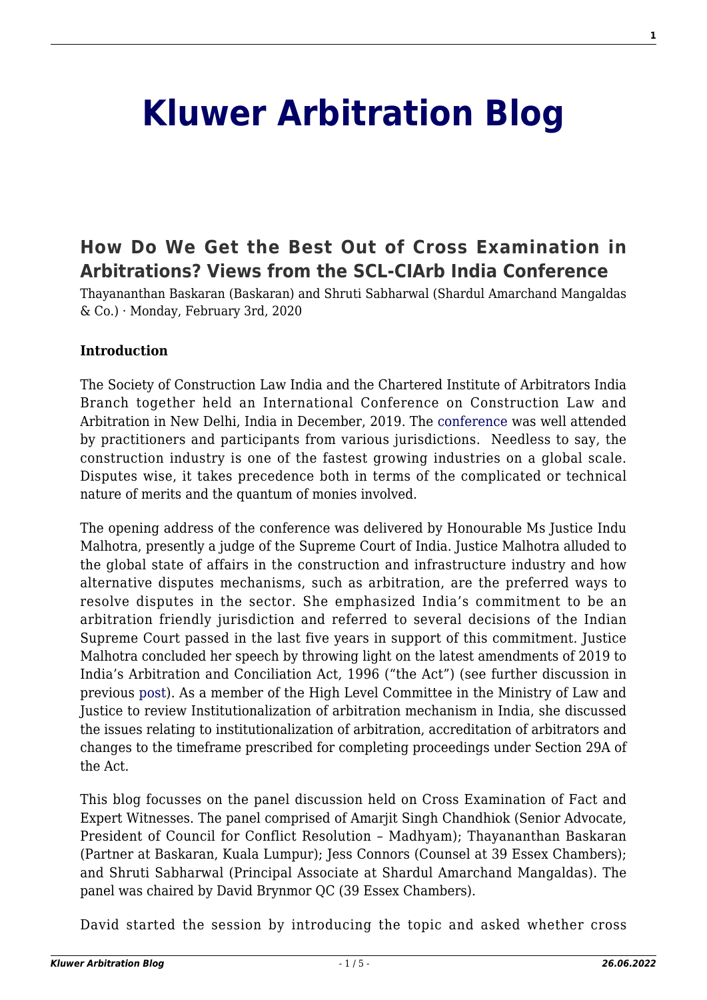# **[Kluwer Arbitration Blog](http://arbitrationblog.kluwerarbitration.com/)**

## **[How Do We Get the Best Out of Cross Examination in](http://arbitrationblog.kluwerarbitration.com/2020/02/03/how-do-we-get-the-best-out-of-cross-examination-in-arbitrations-views-from-the-scl-ciarb-india-conference/) [Arbitrations? Views from the SCL-CIArb India Conference](http://arbitrationblog.kluwerarbitration.com/2020/02/03/how-do-we-get-the-best-out-of-cross-examination-in-arbitrations-views-from-the-scl-ciarb-india-conference/)**

Thayananthan Baskaran (Baskaran) and Shruti Sabharwal (Shardul Amarchand Mangaldas & Co.) · Monday, February 3rd, 2020

#### **Introduction**

The Society of Construction Law India and the Chartered Institute of Arbitrators India Branch together held an International Conference on Construction Law and Arbitration in New Delhi, India in December, 2019. The [conference](https://sclindiaconference.com/) was well attended by practitioners and participants from various jurisdictions. Needless to say, the construction industry is one of the fastest growing industries on a global scale. Disputes wise, it takes precedence both in terms of the complicated or technical nature of merits and the quantum of monies involved.

The opening address of the conference was delivered by Honourable Ms Justice Indu Malhotra, presently a judge of the Supreme Court of India. Justice Malhotra alluded to the global state of affairs in the construction and infrastructure industry and how alternative disputes mechanisms, such as arbitration, are the preferred ways to resolve disputes in the sector. She emphasized India's commitment to be an arbitration friendly jurisdiction and referred to several decisions of the Indian Supreme Court passed in the last five years in support of this commitment. Justice Malhotra concluded her speech by throwing light on the latest amendments of 2019 to India's Arbitration and Conciliation Act, 1996 ("the Act") (see further discussion in previous [post\)](http://arbitrationblog.kluwerarbitration.com/2019/08/25/the-2019-amendment-to-the-indian-arbitration-act-a-classic-case-of-one-step-forward-two-steps-backward/). As a member of the High Level Committee in the Ministry of Law and Justice to review Institutionalization of arbitration mechanism in India, she discussed the issues relating to institutionalization of arbitration, accreditation of arbitrators and changes to the timeframe prescribed for completing proceedings under Section 29A of the Act.

This blog focusses on the panel discussion held on Cross Examination of Fact and Expert Witnesses. The panel comprised of Amarjit Singh Chandhiok (Senior Advocate, President of Council for Conflict Resolution – Madhyam); Thayananthan Baskaran (Partner at Baskaran, Kuala Lumpur); Jess Connors (Counsel at 39 Essex Chambers); and Shruti Sabharwal (Principal Associate at Shardul Amarchand Mangaldas). The panel was chaired by David Brynmor QC (39 Essex Chambers).

David started the session by introducing the topic and asked whether cross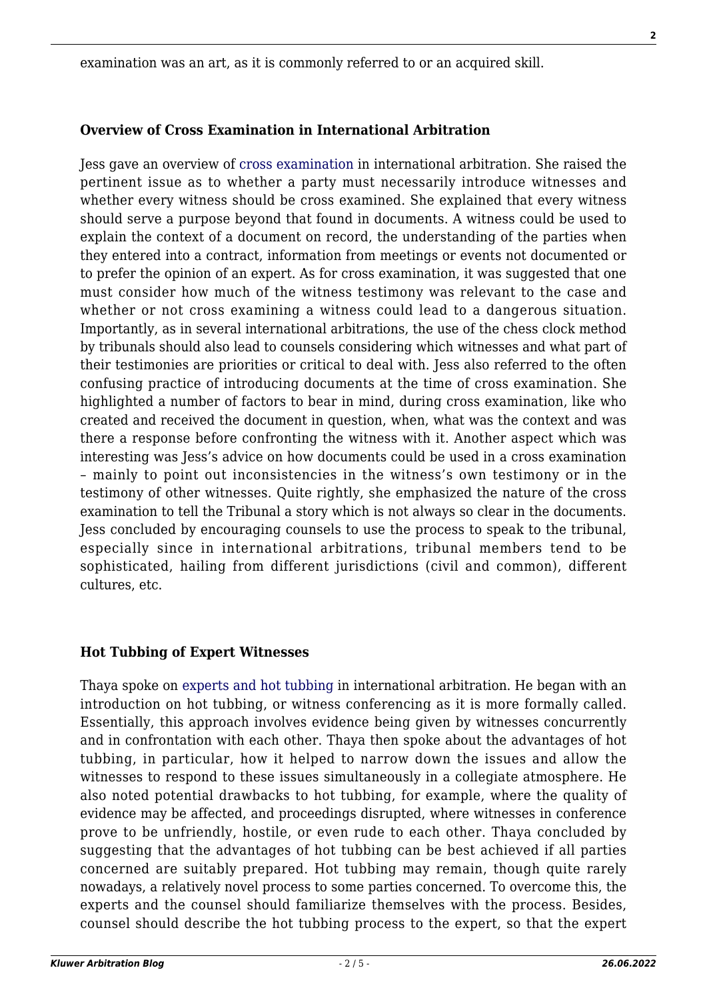examination was an art, as it is commonly referred to or an acquired skill.

## **Overview of Cross Examination in International Arbitration**

Jess gave an overview of [cross examination](http://www.kluwerarbitration.com/document/kli-ka-harbst-2015-ch08?q=Cross%20Examination) in international arbitration. She raised the pertinent issue as to whether a party must necessarily introduce witnesses and whether every witness should be cross examined. She explained that every witness should serve a purpose beyond that found in documents. A witness could be used to explain the context of a document on record, the understanding of the parties when they entered into a contract, information from meetings or events not documented or to prefer the opinion of an expert. As for cross examination, it was suggested that one must consider how much of the witness testimony was relevant to the case and whether or not cross examining a witness could lead to a dangerous situation. Importantly, as in several international arbitrations, the use of the chess clock method by tribunals should also lead to counsels considering which witnesses and what part of their testimonies are priorities or critical to deal with. Jess also referred to the often confusing practice of introducing documents at the time of cross examination. She highlighted a number of factors to bear in mind, during cross examination, like who created and received the document in question, when, what was the context and was there a response before confronting the witness with it. Another aspect which was interesting was Jess's advice on how documents could be used in a cross examination – mainly to point out inconsistencies in the witness's own testimony or in the testimony of other witnesses. Quite rightly, she emphasized the nature of the cross examination to tell the Tribunal a story which is not always so clear in the documents. Jess concluded by encouraging counsels to use the process to speak to the tribunal, especially since in international arbitrations, tribunal members tend to be sophisticated, hailing from different jurisdictions (civil and common), different cultures, etc.

## **Hot Tubbing of Expert Witnesses**

Thaya spoke on [experts and hot tubbing](http://www.kluwerarbitration.com/document/kli-ka-austrian-yb-2019-011-n?q=hot%20tubbing) in international arbitration. He began with an introduction on hot tubbing, or witness conferencing as it is more formally called. Essentially, this approach involves evidence being given by witnesses concurrently and in confrontation with each other. Thaya then spoke about the advantages of hot tubbing, in particular, how it helped to narrow down the issues and allow the witnesses to respond to these issues simultaneously in a collegiate atmosphere. He also noted potential drawbacks to hot tubbing, for example, where the quality of evidence may be affected, and proceedings disrupted, where witnesses in conference prove to be unfriendly, hostile, or even rude to each other. Thaya concluded by suggesting that the advantages of hot tubbing can be best achieved if all parties concerned are suitably prepared. Hot tubbing may remain, though quite rarely nowadays, a relatively novel process to some parties concerned. To overcome this, the experts and the counsel should familiarize themselves with the process. Besides, counsel should describe the hot tubbing process to the expert, so that the expert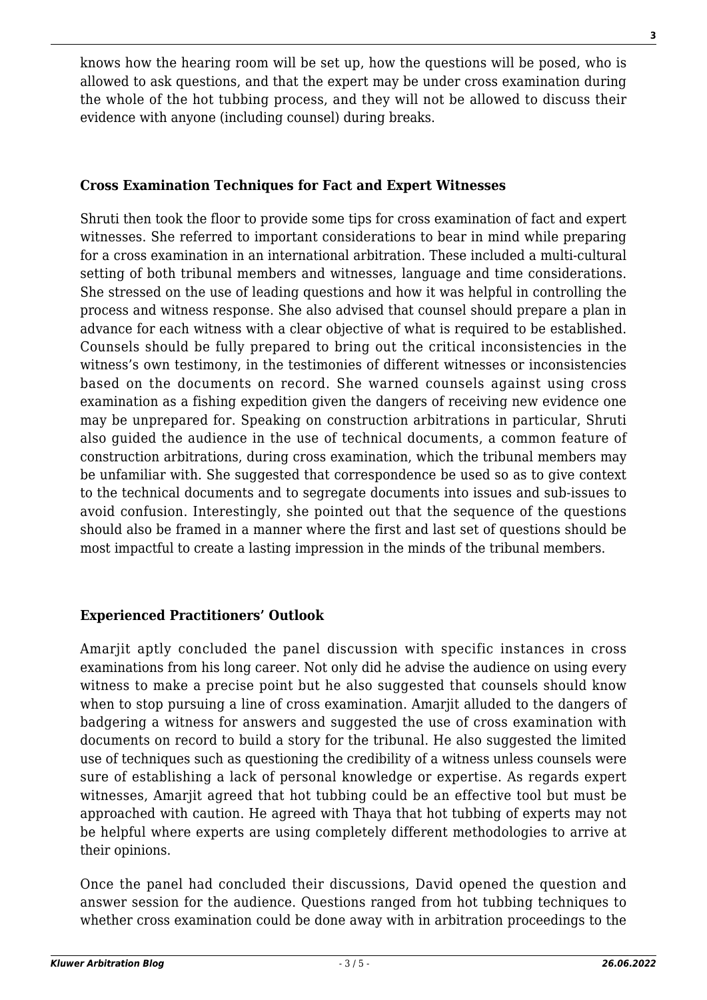knows how the hearing room will be set up, how the questions will be posed, who is allowed to ask questions, and that the expert may be under cross examination during the whole of the hot tubbing process, and they will not be allowed to discuss their evidence with anyone (including counsel) during breaks.

#### **Cross Examination Techniques for Fact and Expert Witnesses**

Shruti then took the floor to provide some tips for cross examination of fact and expert witnesses. She referred to important considerations to bear in mind while preparing for a cross examination in an international arbitration. These included a multi-cultural setting of both tribunal members and witnesses, language and time considerations. She stressed on the use of leading questions and how it was helpful in controlling the process and witness response. She also advised that counsel should prepare a plan in advance for each witness with a clear objective of what is required to be established. Counsels should be fully prepared to bring out the critical inconsistencies in the witness's own testimony, in the testimonies of different witnesses or inconsistencies based on the documents on record. She warned counsels against using cross examination as a fishing expedition given the dangers of receiving new evidence one may be unprepared for. Speaking on construction arbitrations in particular, Shruti also guided the audience in the use of technical documents, a common feature of construction arbitrations, during cross examination, which the tribunal members may be unfamiliar with. She suggested that correspondence be used so as to give context to the technical documents and to segregate documents into issues and sub-issues to avoid confusion. Interestingly, she pointed out that the sequence of the questions should also be framed in a manner where the first and last set of questions should be most impactful to create a lasting impression in the minds of the tribunal members.

## **Experienced Practitioners' Outlook**

Amarjit aptly concluded the panel discussion with specific instances in cross examinations from his long career. Not only did he advise the audience on using every witness to make a precise point but he also suggested that counsels should know when to stop pursuing a line of cross examination. Amarjit alluded to the dangers of badgering a witness for answers and suggested the use of cross examination with documents on record to build a story for the tribunal. He also suggested the limited use of techniques such as questioning the credibility of a witness unless counsels were sure of establishing a lack of personal knowledge or expertise. As regards expert witnesses, Amarjit agreed that hot tubbing could be an effective tool but must be approached with caution. He agreed with Thaya that hot tubbing of experts may not be helpful where experts are using completely different methodologies to arrive at their opinions.

Once the panel had concluded their discussions, David opened the question and answer session for the audience. Questions ranged from hot tubbing techniques to whether cross examination could be done away with in arbitration proceedings to the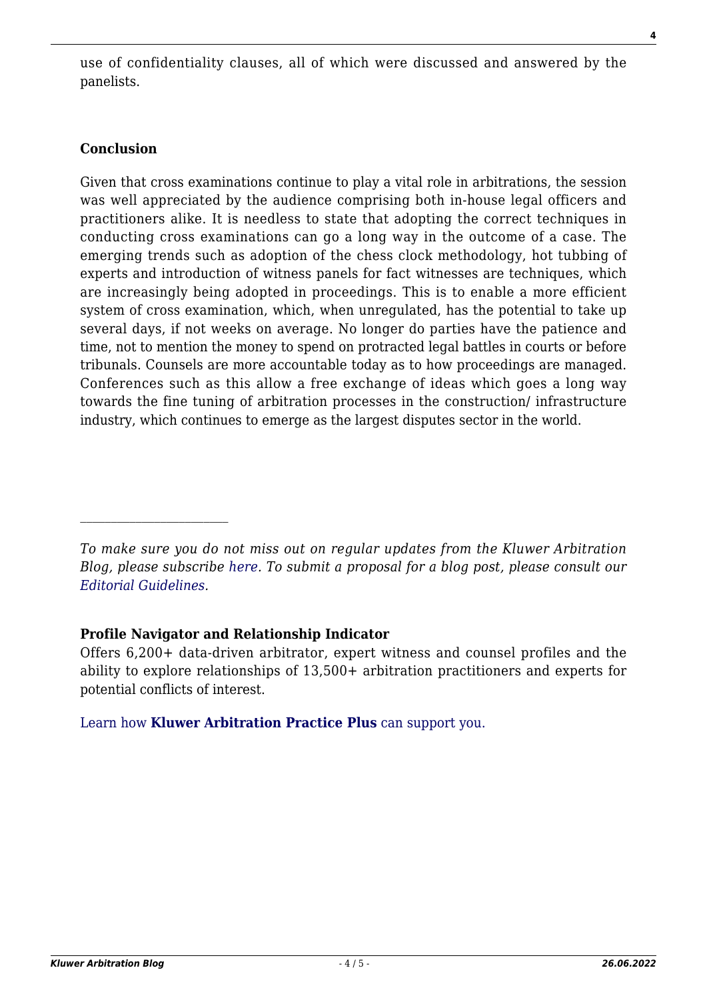use of confidentiality clauses, all of which were discussed and answered by the panelists.

## **Conclusion**

Given that cross examinations continue to play a vital role in arbitrations, the session was well appreciated by the audience comprising both in-house legal officers and practitioners alike. It is needless to state that adopting the correct techniques in conducting cross examinations can go a long way in the outcome of a case. The emerging trends such as adoption of the chess clock methodology, hot tubbing of experts and introduction of witness panels for fact witnesses are techniques, which are increasingly being adopted in proceedings. This is to enable a more efficient system of cross examination, which, when unregulated, has the potential to take up several days, if not weeks on average. No longer do parties have the patience and time, not to mention the money to spend on protracted legal battles in courts or before tribunals. Counsels are more accountable today as to how proceedings are managed. Conferences such as this allow a free exchange of ideas which goes a long way towards the fine tuning of arbitration processes in the construction/ infrastructure industry, which continues to emerge as the largest disputes sector in the world.

## **Profile Navigator and Relationship Indicator**

Offers 6,200+ data-driven arbitrator, expert witness and counsel profiles and the ability to explore relationships of 13,500+ arbitration practitioners and experts for potential conflicts of interest.

[Learn how](https://www.wolterskluwer.com/en/solutions/kluwerarbitration/practiceplus?utm_source=arbitrationblog&utm_medium=articleCTA&utm_campaign=article-banner) **[Kluwer Arbitration Practice Plus](https://www.wolterskluwer.com/en/solutions/kluwerarbitration/practiceplus?utm_source=arbitrationblog&utm_medium=articleCTA&utm_campaign=article-banner)** [can support you.](https://www.wolterskluwer.com/en/solutions/kluwerarbitration/practiceplus?utm_source=arbitrationblog&utm_medium=articleCTA&utm_campaign=article-banner)

*To make sure you do not miss out on regular updates from the Kluwer Arbitration Blog, please subscribe [here](http://arbitrationblog.kluwerarbitration.com/newsletter/). To submit a proposal for a blog post, please consult our [Editorial Guidelines.](http://arbitrationblog.kluwerarbitration.com/editorial-guidelines/)*